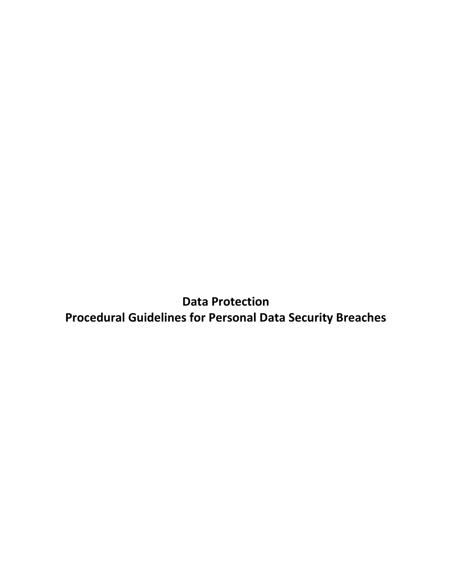**Data Protection Procedural Guidelines for Personal Data Security Breaches**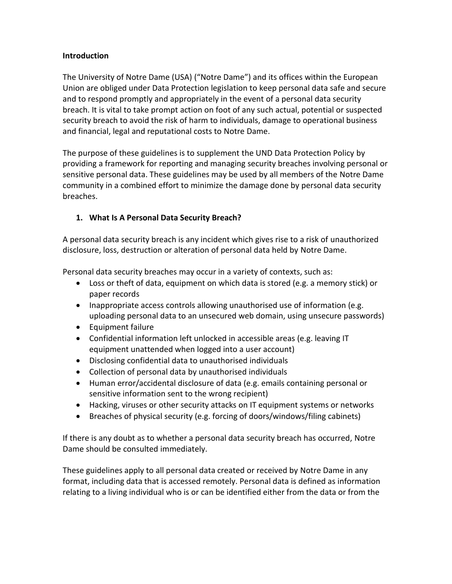#### **Introduction**

The University of Notre Dame (USA) ("Notre Dame") and its offices within the European Union are obliged under Data Protection legislation to keep personal data safe and secure and to respond promptly and appropriately in the event of a personal data security breach. It is vital to take prompt action on foot of any such actual, potential or suspected security breach to avoid the risk of harm to individuals, damage to operational business and financial, legal and reputational costs to Notre Dame.

The purpose of these guidelines is to supplement the UND Data Protection Policy by providing a framework for reporting and managing security breaches involving personal or sensitive personal data. These guidelines may be used by all members of the Notre Dame community in a combined effort to minimize the damage done by personal data security breaches.

## **1. What Is A Personal Data Security Breach?**

A personal data security breach is any incident which gives rise to a risk of unauthorized disclosure, loss, destruction or alteration of personal data held by Notre Dame.

Personal data security breaches may occur in a variety of contexts, such as:

- Loss or theft of data, equipment on which data is stored (e.g. a memory stick) or paper records
- Inappropriate access controls allowing unauthorised use of information (e.g. uploading personal data to an unsecured web domain, using unsecure passwords)
- Equipment failure
- Confidential information left unlocked in accessible areas (e.g. leaving IT equipment unattended when logged into a user account)
- Disclosing confidential data to unauthorised individuals
- Collection of personal data by unauthorised individuals
- Human error/accidental disclosure of data (e.g. emails containing personal or sensitive information sent to the wrong recipient)
- Hacking, viruses or other security attacks on IT equipment systems or networks
- Breaches of physical security (e.g. forcing of doors/windows/filing cabinets)

If there is any doubt as to whether a personal data security breach has occurred, Notre Dame should be consulted immediately.

These guidelines apply to all personal data created or received by Notre Dame in any format, including data that is accessed remotely. Personal data is defined as information relating to a living individual who is or can be identified either from the data or from the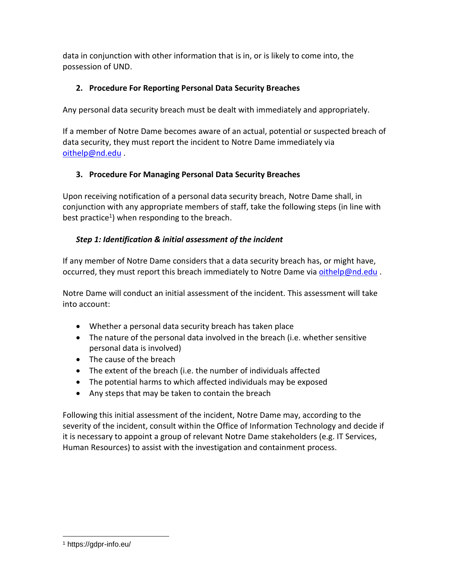data in conjunction with other information that is in, or is likely to come into, the possession of UND.

# **2. Procedure For Reporting Personal Data Security Breaches**

Any personal data security breach must be dealt with immediately and appropriately.

If a member of Notre Dame becomes aware of an actual, potential or suspected breach of data security, they must report the incident to Notre Dame immediately via [oithelp@nd.edu](mailto:oithelp@nd.edu) .

# **3. Procedure For Managing Personal Data Security Breaches**

Upon receiving notification of a personal data security breach, Notre Dame shall, in conjunction with any appropriate members of staff, take the following steps (in line with best practice<sup>1</sup>) when responding to the breach.

# *Step 1: Identification & initial assessment of the incident*

If any member of Notre Dame considers that a data security breach has, or might have, occurred, they must report this breach immediately to Notre Dame via [oithelp@nd.edu](mailto:oithelp@nd.edu) .

Notre Dame will conduct an initial assessment of the incident. This assessment will take into account:

- Whether a personal data security breach has taken place
- The nature of the personal data involved in the breach (i.e. whether sensitive personal data is involved)
- The cause of the breach
- The extent of the breach (i.e. the number of individuals affected
- The potential harms to which affected individuals may be exposed
- Any steps that may be taken to contain the breach

Following this initial assessment of the incident, Notre Dame may, according to the severity of the incident, consult within the Office of Information Technology and decide if it is necessary to appoint a group of relevant Notre Dame stakeholders (e.g. IT Services, Human Resources) to assist with the investigation and containment process.

 $\overline{a}$ <sup>1</sup> https://gdpr-info.eu/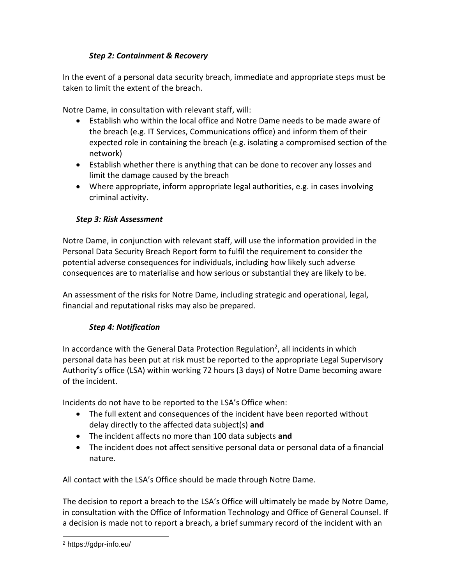# *Step 2: Containment & Recovery*

In the event of a personal data security breach, immediate and appropriate steps must be taken to limit the extent of the breach.

Notre Dame, in consultation with relevant staff, will:

- Establish who within the local office and Notre Dame needs to be made aware of the breach (e.g. IT Services, Communications office) and inform them of their expected role in containing the breach (e.g. isolating a compromised section of the network)
- Establish whether there is anything that can be done to recover any losses and limit the damage caused by the breach
- Where appropriate, inform appropriate legal authorities, e.g. in cases involving criminal activity.

## *Step 3: Risk Assessment*

Notre Dame, in conjunction with relevant staff, will use the information provided in the Personal Data Security Breach Report form to fulfil the requirement to consider the potential adverse consequences for individuals, including how likely such adverse consequences are to materialise and how serious or substantial they are likely to be.

An assessment of the risks for Notre Dame, including strategic and operational, legal, financial and reputational risks may also be prepared.

## *Step 4: Notification*

In accordance with the General Data Protection Regulation<sup>2</sup>, all incidents in which personal data has been put at risk must be reported to the appropriate Legal Supervisory Authority's office (LSA) within working 72 hours (3 days) of Notre Dame becoming aware of the incident.

Incidents do not have to be reported to the LSA's Office when:

- The full extent and consequences of the incident have been reported without delay directly to the affected data subject(s) **and**
- The incident affects no more than 100 data subjects **and**
- The incident does not affect sensitive personal data or personal data of a financial nature.

All contact with the LSA's Office should be made through Notre Dame.

The decision to report a breach to the LSA's Office will ultimately be made by Notre Dame, in consultation with the Office of Information Technology and Office of General Counsel. If a decision is made not to report a breach, a brief summary record of the incident with an

 $\overline{a}$ 

<sup>2</sup> https://gdpr-info.eu/